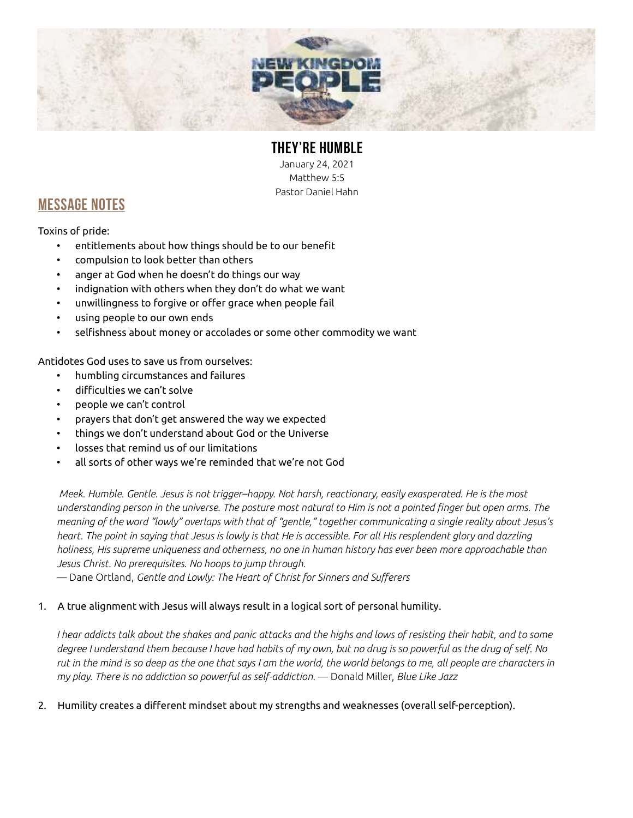

# THEY'RE HUMBLE

January 24, 2021 Matthew 5:5 Pastor Daniel Hahn

### MESSAGE NOTES

Toxins of pride:

- entitlements about how things should be to our benefit
- compulsion to look better than others
- anger at God when he doesn't do things our way
- indignation with others when they don't do what we want
- unwillingness to forgive or offer grace when people fail
- using people to our own ends
- selfishness about money or accolades or some other commodity we want

Antidotes God uses to save us from ourselves:

- humbling circumstances and failures
- difficulties we can't solve
- people we can't control
- prayers that don't get answered the way we expected
- things we don't understand about God or the Universe
- losses that remind us of our limitations
- all sorts of other ways we're reminded that we're not God

 Meek. Humble. Gentle. Jesus is not trigger–happy. Not harsh, reactionary, easily exasperated. He is the most understanding person in the universe. The posture most natural to Him is not a pointed finger but open arms. The meaning of the word "lowly" overlaps with that of "gentle," together communicating a single reality about Jesus's heart. The point in saying that Jesus is lowly is that He is accessible. For all His resplendent glory and dazzling holiness, His supreme uniqueness and otherness, no one in human history has ever been more approachable than Jesus Christ. No prerequisites. No hoops to jump through.

— Dane Ortland, Gentle and Lowly: The Heart of Christ for Sinners and Sufferers

### 1. A true alignment with Jesus will always result in a logical sort of personal humility.

I hear addicts talk about the shakes and panic attacks and the highs and lows of resisting their habit, and to some degree I understand them because I have had habits of my own, but no drug is so powerful as the drug of self. No rut in the mind is so deep as the one that says I am the world, the world belongs to me, all people are characters in my play. There is no addiction so powerful as self-addiction. — Donald Miller, Blue Like Jazz

#### 2. Humility creates a different mindset about my strengths and weaknesses (overall self-perception).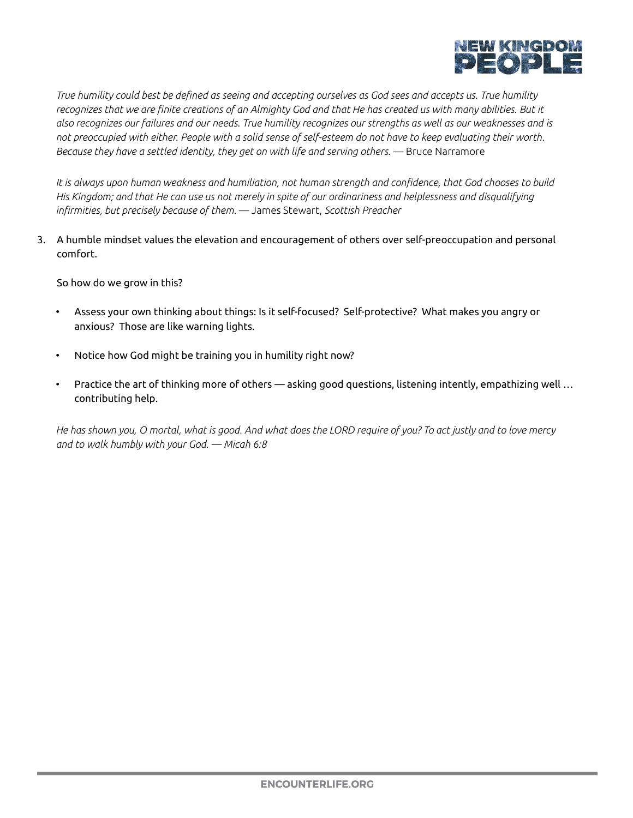

True humility could best be defined as seeing and accepting ourselves as God sees and accepts us. True humility recognizes that we are finite creations of an Almighty God and that He has created us with many abilities. But it also recognizes our failures and our needs. True humility recognizes our strengths as well as our weaknesses and is not preoccupied with either. People with a solid sense of self-esteem do not have to keep evaluating their worth. Because they have a settled identity, they get on with life and serving others. — Bruce Narramore

It is always upon human weakness and humiliation, not human strength and confidence, that God chooses to build His Kingdom; and that He can use us not merely in spite of our ordinariness and helplessness and disqualifying infirmities, but precisely because of them. - James Stewart, Scottish Preacher

3. A humble mindset values the elevation and encouragement of others over self-preoccupation and personal comfort.

So how do we grow in this?

- Assess your own thinking about things: Is it self-focused? Self-protective? What makes you angry or anxious? Those are like warning lights.
- Notice how God might be training you in humility right now?
- Practice the art of thinking more of others asking good questions, listening intently, empathizing well … contributing help.

He has shown you, O mortal, what is good. And what does the LORD require of you? To act justly and to love mercy and to walk humbly with your God. — Micah 6:8